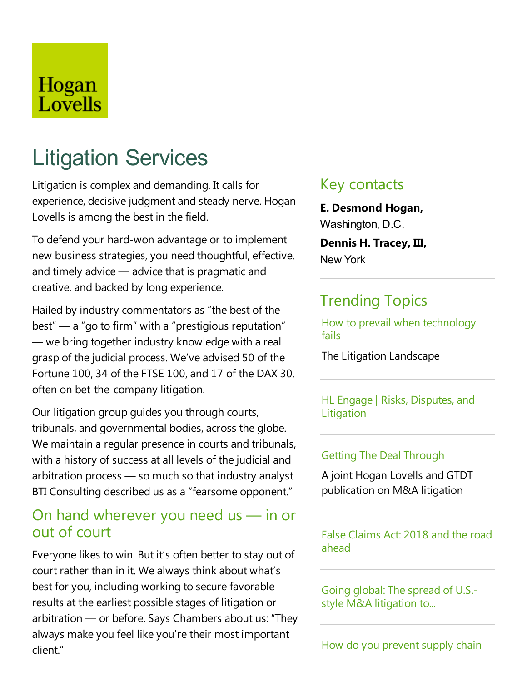# Hogan Lovells

# Litigation Services

Litigation is complex and demanding. It calls for experience, decisive judgment and steady nerve. Hogan Lovells is among the best in the field.

To defend your hard-won advantage or to implement new business strategies, you need thoughtful, effective, and timely advice  $-$  advice that is pragmatic and creative, and backed by long experience.

Hailed by industry commentators as "the best of the  $best'' - a''$  go to firm" with a "prestigious reputation"  $-$  we bring together industry knowledge with a real grasp of the judicial process. We've advised 50 of the Fortune 100, 34 of the FTSE 100, and 17 of the DAX 30, often on bet-the-company litigation.

Our litigation group guides you through courts, tribunals, and governmental bodies, across the globe. We maintain a regular presence in courts and tribunals, with a history of success at all levels of the judicial and arbitration process — so much so that industry analyst BTI Consulting described us as a"fearsome opponent."

### On hand wherever you need us — in or out of court

Everyone likes to win. But it's often better to stay out of court rather than in it. We always think about what's best for you, including working to secure favorable results at the earliest possible stages of litigation or arbitration — or before. Says Chambers about us: "They always make you feel like you're their most important client."

### Key contacts

**E. Desmond Hogan,** Washington, D.C. **Dennis H. Tracey, III,** New York

### Trending Topics

How to prevail when technology fails

The Litigation Landscape

HL Engage | Risks, Disputes, and Litigation

#### **Getting The Deal Through**

A joint Hogan Lovells and GTDT publication on M&A litigation

False Claims Act: 2018 and the road ahead

Going global: The spread of U.S.style M&A litigation to...

How do you prevent supply chain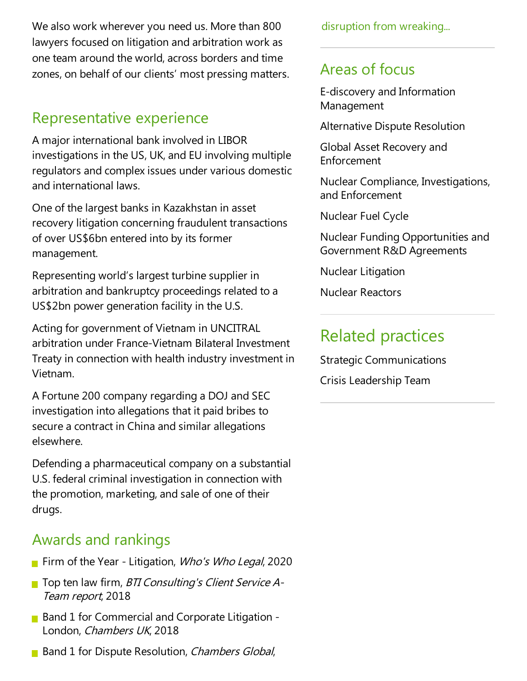We also work wherever you need us. More than 800 lawyers focused on litigation and arbitration work as one team around the world, across borders and time zones, on behalf of our clients' most pressing matters.

# Representative experience

A major international bank involved in LIBOR investigations in the US, UK, and EU involving multiple regulators and complex issues under various domestic and international laws.

One of the largest banks in Kazakhstan in asset recovery litigation concerning fraudulent transactions of over US\$6bn entered into by its former management.

Representing world's largest turbine supplier in arbitration and bankruptcy proceedings related to a US\$2bn power generation facility in the U.S.

Acting for government of Vietnam in UNCITRAL arbitration under France-Vietnam Bilateral Investment Treaty in connection with health industry investment in Vietnam.

A Fortune 200 company regarding a DOJ and SEC investigation into allegations that it paid bribes to secure a contract in China and similar allegations elsewhere.

Defending a pharmaceutical company on a substantial U.S. federal criminal investigation in connection with the promotion, marketing, and sale of one of their drugs.

# Awards and rankings

- Firm of the Year Litigation, Who's Who Legal, 2020
- **T** Top ten law firm, *BTI Consulting's Client Service A-*Team report, 2018
- $\blacksquare$  Band 1 for Commercial and Corporate Litigation -London, Chambers UK, 2018
- **Band 1 for Dispute Resolution, Chambers Global,**

disruption from wreaking...

# Areas of focus

E-discovery and Information Management

Alternative Dispute Resolution

Global Asset Recovery and Enforcement

Nuclear Compliance, Investigations, and Enforcement

Nuclear Fuel Cycle

Nuclear Funding Opportunities and Government R&D Agreements

Nuclear Litigation

Nuclear Reactors

# Related practices

Strategic Communications Crisis Leadership Team